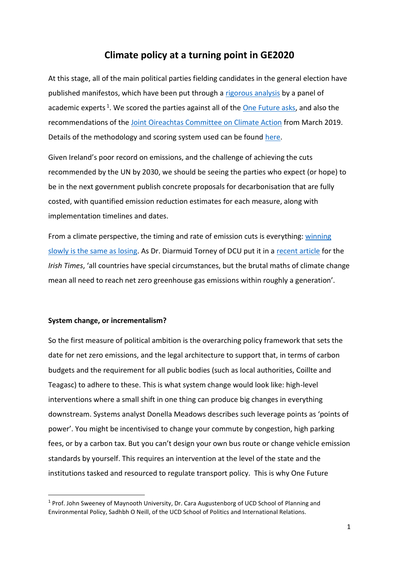# **Climate policy at a turning point in GE2020**

At this stage, all of the main political parties fielding candidates in the general election have published manifestos, which have been put through a [rigorous analysis](https://www.onefuture.ie/manifestos) by a panel of academic experts<sup>1</sup>. We scored the parties against all of the **One Future asks**, and also the recommendations of the [Joint Oireachtas Committee on Climate Action](https://data.oireachtas.ie/ie/oireachtas/committee/dail/32/joint_committee_on_climate_action/reports/2019/2019-03-28_report-climate-change-a-cross-party-consensus-for-action_en.pdf) from March 2019. Details of the methodology and scoring system used can be found [here.](https://www.foe.ie/assets/files/pdf/ofi_combined_scoring_methodology.pdf)

Given Ireland's poor record on emissions, and the challenge of achieving the cuts recommended by the UN by 2030, we should be seeing the parties who expect (or hope) to be in the next government publish concrete proposals for decarbonisation that are fully costed, with quantified emission reduction estimates for each measure, along with implementation timelines and dates.

From a climate perspective, the timing and rate of emission cuts is everything[: winning](https://www.rollingstone.com/politics/politics-news/bill-mckibben-winning-slowly-is-the-same-as-losing-198205/)  [slowly is the same as losing.](https://www.rollingstone.com/politics/politics-news/bill-mckibben-winning-slowly-is-the-same-as-losing-198205/) As Dr. Diarmuid Torney of DCU put it in a [recent article](https://www.irishtimes.com/opinion/state-must-step-up-its-capacity-to-deliver-climate-action-1.4113573) for the *Irish Times*, 'all countries have special circumstances, but the brutal maths of climate change mean all need to reach net zero greenhouse gas emissions within roughly a generation'.

## **System change, or incrementalism?**

So the first measure of political ambition is the overarching policy framework that sets the date for net zero emissions, and the legal architecture to support that, in terms of carbon budgets and the requirement for all public bodies (such as local authorities, Coillte and Teagasc) to adhere to these. This is what system change would look like: high-level interventions where a small shift in one thing can produce big changes in everything downstream. Systems analyst Donella Meadows describes such leverage points as 'points of power'. You might be incentivised to change your commute by congestion, high parking fees, or by a carbon tax. But you can't design your own bus route or change vehicle emission standards by yourself. This requires an intervention at the level of the state and the institutions tasked and resourced to regulate transport policy. This is why One Future

<sup>&</sup>lt;sup>1</sup> Prof. John Sweeney of Maynooth University, Dr. Cara Augustenborg of UCD School of Planning and Environmental Policy, Sadhbh O Neill, of the UCD School of Politics and International Relations.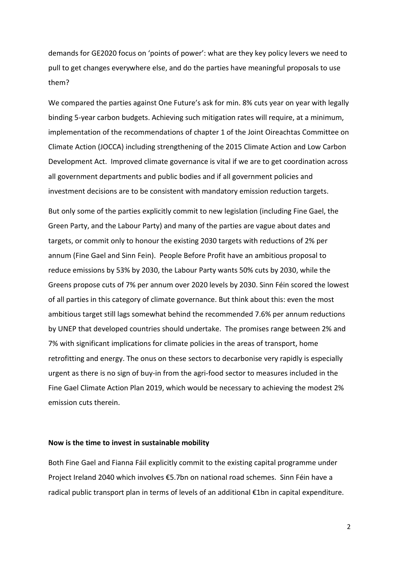demands for GE2020 focus on 'points of power': what are they key policy levers we need to pull to get changes everywhere else, and do the parties have meaningful proposals to use them?

We compared the parties against One Future's ask for min. 8% cuts year on year with legally binding 5-year carbon budgets. Achieving such mitigation rates will require, at a minimum, implementation of the recommendations of chapter 1 of the Joint Oireachtas Committee on Climate Action (JOCCA) including strengthening of the 2015 Climate Action and Low Carbon Development Act. Improved climate governance is vital if we are to get coordination across all government departments and public bodies and if all government policies and investment decisions are to be consistent with mandatory emission reduction targets.

But only some of the parties explicitly commit to new legislation (including Fine Gael, the Green Party, and the Labour Party) and many of the parties are vague about dates and targets, or commit only to honour the existing 2030 targets with reductions of 2% per annum (Fine Gael and Sinn Fein). People Before Profit have an ambitious proposal to reduce emissions by 53% by 2030, the Labour Party wants 50% cuts by 2030, while the Greens propose cuts of 7% per annum over 2020 levels by 2030. Sinn Féin scored the lowest of all parties in this category of climate governance. But think about this: even the most ambitious target still lags somewhat behind the recommended 7.6% per annum reductions by UNEP that developed countries should undertake. The promises range between 2% and 7% with significant implications for climate policies in the areas of transport, home retrofitting and energy. The onus on these sectors to decarbonise very rapidly is especially urgent as there is no sign of buy-in from the agri-food sector to measures included in the Fine Gael Climate Action Plan 2019, which would be necessary to achieving the modest 2% emission cuts therein.

# **Now is the time to invest in sustainable mobility**

Both Fine Gael and Fianna Fáil explicitly commit to the existing capital programme under Project Ireland 2040 which involves €5.7bn on national road schemes. Sinn Féin have a radical public transport plan in terms of levels of an additional €1bn in capital expenditure.

2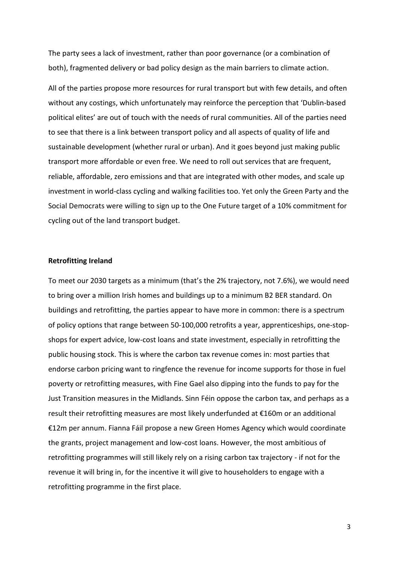The party sees a lack of investment, rather than poor governance (or a combination of both), fragmented delivery or bad policy design as the main barriers to climate action.

All of the parties propose more resources for rural transport but with few details, and often without any costings, which unfortunately may reinforce the perception that 'Dublin-based political elites' are out of touch with the needs of rural communities. All of the parties need to see that there is a link between transport policy and all aspects of quality of life and sustainable development (whether rural or urban). And it goes beyond just making public transport more affordable or even free. We need to roll out services that are frequent, reliable, affordable, zero emissions and that are integrated with other modes, and scale up investment in world-class cycling and walking facilities too. Yet only the Green Party and the Social Democrats were willing to sign up to the One Future target of a 10% commitment for cycling out of the land transport budget.

# **Retrofitting Ireland**

To meet our 2030 targets as a minimum (that's the 2% trajectory, not 7.6%), we would need to bring over a million Irish homes and buildings up to a minimum B2 BER standard. On buildings and retrofitting, the parties appear to have more in common: there is a spectrum of policy options that range between 50-100,000 retrofits a year, apprenticeships, one-stopshops for expert advice, low-cost loans and state investment, especially in retrofitting the public housing stock. This is where the carbon tax revenue comes in: most parties that endorse carbon pricing want to ringfence the revenue for income supports for those in fuel poverty or retrofitting measures, with Fine Gael also dipping into the funds to pay for the Just Transition measures in the Midlands. Sinn Féin oppose the carbon tax, and perhaps as a result their retrofitting measures are most likely underfunded at €160m or an additional €12m per annum. Fianna Fáil propose a new Green Homes Agency which would coordinate the grants, project management and low-cost loans. However, the most ambitious of retrofitting programmes will still likely rely on a rising carbon tax trajectory - if not for the revenue it will bring in, for the incentive it will give to householders to engage with a retrofitting programme in the first place.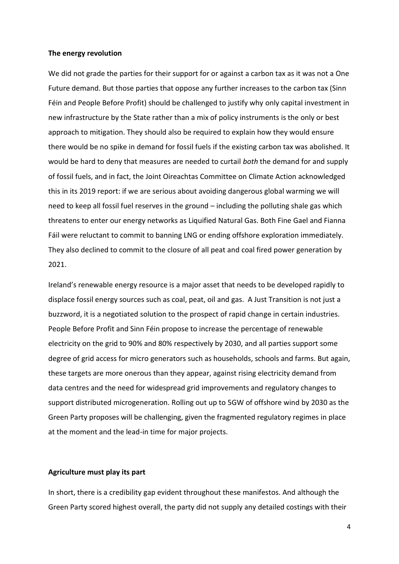#### **The energy revolution**

We did not grade the parties for their support for or against a carbon tax as it was not a One Future demand. But those parties that oppose any further increases to the carbon tax (Sinn Féin and People Before Profit) should be challenged to justify why only capital investment in new infrastructure by the State rather than a mix of policy instruments is the only or best approach to mitigation. They should also be required to explain how they would ensure there would be no spike in demand for fossil fuels if the existing carbon tax was abolished. It would be hard to deny that measures are needed to curtail *both* the demand for and supply of fossil fuels, and in fact, the Joint Oireachtas Committee on Climate Action acknowledged this in its 2019 report: if we are serious about avoiding dangerous global warming we will need to keep all fossil fuel reserves in the ground – including the polluting shale gas which threatens to enter our energy networks as Liquified Natural Gas. Both Fine Gael and Fianna Fáil were reluctant to commit to banning LNG or ending offshore exploration immediately. They also declined to commit to the closure of all peat and coal fired power generation by 2021.

Ireland's renewable energy resource is a major asset that needs to be developed rapidly to displace fossil energy sources such as coal, peat, oil and gas. A Just Transition is not just a buzzword, it is a negotiated solution to the prospect of rapid change in certain industries. People Before Profit and Sinn Féin propose to increase the percentage of renewable electricity on the grid to 90% and 80% respectively by 2030, and all parties support some degree of grid access for micro generators such as households, schools and farms. But again, these targets are more onerous than they appear, against rising electricity demand from data centres and the need for widespread grid improvements and regulatory changes to support distributed microgeneration. Rolling out up to 5GW of offshore wind by 2030 as the Green Party proposes will be challenging, given the fragmented regulatory regimes in place at the moment and the lead-in time for major projects.

## **Agriculture must play its part**

In short, there is a credibility gap evident throughout these manifestos. And although the Green Party scored highest overall, the party did not supply any detailed costings with their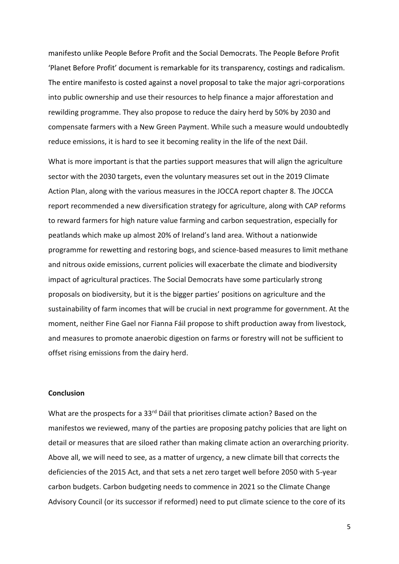manifesto unlike People Before Profit and the Social Democrats. The People Before Profit 'Planet Before Profit' document is remarkable for its transparency, costings and radicalism. The entire manifesto is costed against a novel proposal to take the major agri-corporations into public ownership and use their resources to help finance a major afforestation and rewilding programme. They also propose to reduce the dairy herd by 50% by 2030 and compensate farmers with a New Green Payment. While such a measure would undoubtedly reduce emissions, it is hard to see it becoming reality in the life of the next Dáil.

What is more important is that the parties support measures that will align the agriculture sector with the 2030 targets, even the voluntary measures set out in the 2019 Climate Action Plan, along with the various measures in the JOCCA report chapter 8. The JOCCA report recommended a new diversification strategy for agriculture, along with CAP reforms to reward farmers for high nature value farming and carbon sequestration, especially for peatlands which make up almost 20% of Ireland's land area. Without a nationwide programme for rewetting and restoring bogs, and science-based measures to limit methane and nitrous oxide emissions, current policies will exacerbate the climate and biodiversity impact of agricultural practices. The Social Democrats have some particularly strong proposals on biodiversity, but it is the bigger parties' positions on agriculture and the sustainability of farm incomes that will be crucial in next programme for government. At the moment, neither Fine Gael nor Fianna Fáil propose to shift production away from livestock, and measures to promote anaerobic digestion on farms or forestry will not be sufficient to offset rising emissions from the dairy herd.

#### **Conclusion**

What are the prospects for a 33<sup>rd</sup> Dáil that prioritises climate action? Based on the manifestos we reviewed, many of the parties are proposing patchy policies that are light on detail or measures that are siloed rather than making climate action an overarching priority. Above all, we will need to see, as a matter of urgency, a new climate bill that corrects the deficiencies of the 2015 Act, and that sets a net zero target well before 2050 with 5-year carbon budgets. Carbon budgeting needs to commence in 2021 so the Climate Change Advisory Council (or its successor if reformed) need to put climate science to the core of its